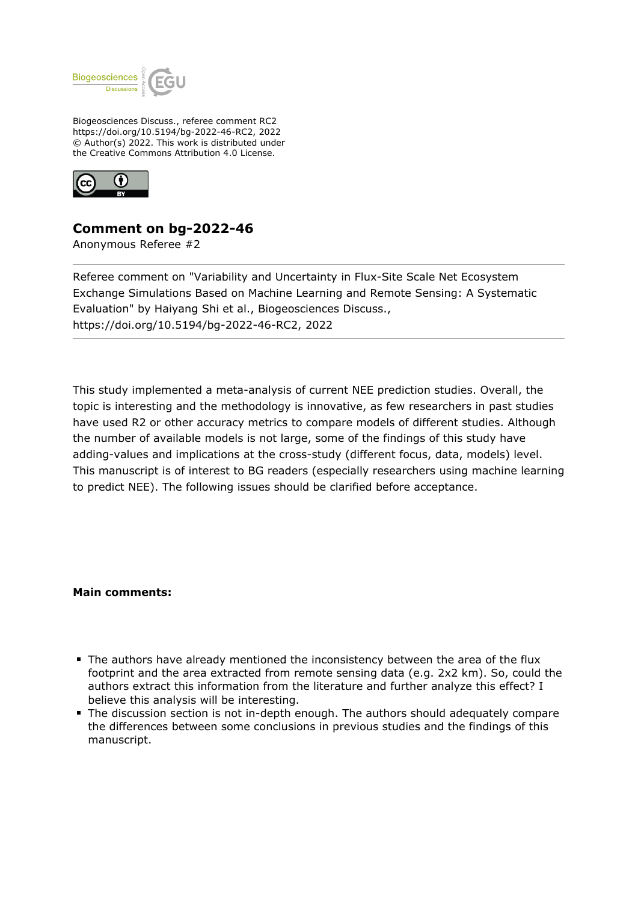

Biogeosciences Discuss., referee comment RC2 https://doi.org/10.5194/bg-2022-46-RC2, 2022 © Author(s) 2022. This work is distributed under the Creative Commons Attribution 4.0 License.



## **Comment on bg-2022-46**

Anonymous Referee #2

Referee comment on "Variability and Uncertainty in Flux-Site Scale Net Ecosystem Exchange Simulations Based on Machine Learning and Remote Sensing: A Systematic Evaluation" by Haiyang Shi et al., Biogeosciences Discuss., https://doi.org/10.5194/bg-2022-46-RC2, 2022

This study implemented a meta-analysis of current NEE prediction studies. Overall, the topic is interesting and the methodology is innovative, as few researchers in past studies have used R2 or other accuracy metrics to compare models of different studies. Although the number of available models is not large, some of the findings of this study have adding-values and implications at the cross-study (different focus, data, models) level. This manuscript is of interest to BG readers (especially researchers using machine learning to predict NEE). The following issues should be clarified before acceptance.

**Main comments:**

- The authors have already mentioned the inconsistency between the area of the flux footprint and the area extracted from remote sensing data (e.g. 2x2 km). So, could the authors extract this information from the literature and further analyze this effect? I believe this analysis will be interesting.
- The discussion section is not in-depth enough. The authors should adequately compare the differences between some conclusions in previous studies and the findings of this manuscript.